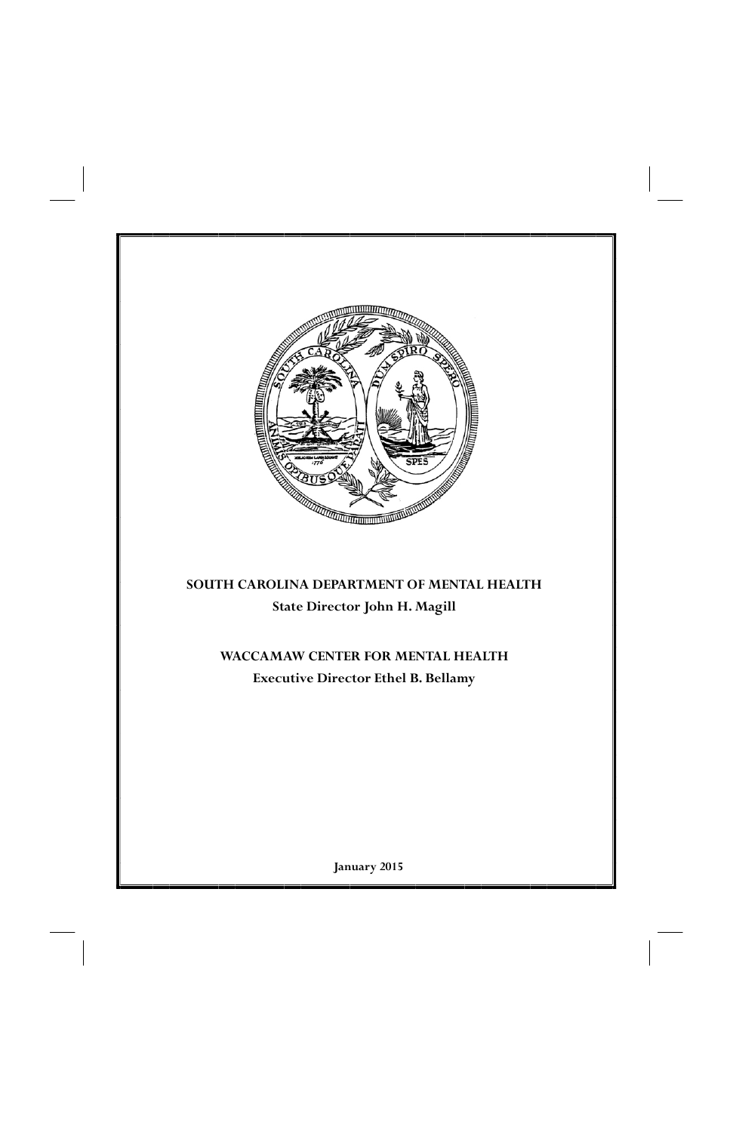

# **January 2015**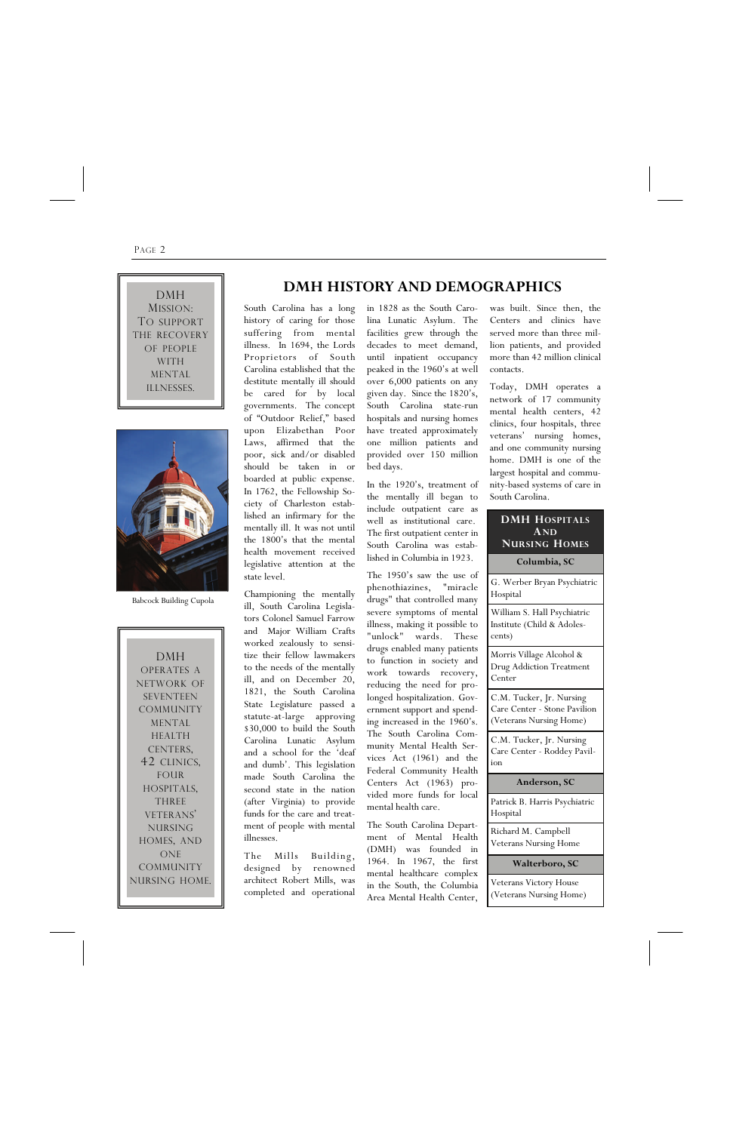#### PAGE 2

South Carolina has a long history of caring for those suffering from mental illness. In 1694, the Lords Proprietors of South Carolina established that the destitute mentally ill should be cared for by local governments. The concept of "Outdoor Relief," based upon Elizabethan Poor Laws, affirmed that the poor, sick and/or disabled should be taken in or boarded at public expense. In 1762, the Fellowship Society of Charleston established an infirmary for the mentally ill. It was not until the 1800's that the mental health movement received legislative attention at the state level.

Championing the mentally ill, South Carolina Legislators Colonel Samuel Farrow and Major William Crafts worked zealously to sensitize their fellow lawmakers to the needs of the mentally ill, and on December 20, 1821, the South Carolina State Legislature passed a statute-at-large approving \$30,000 to build the South Carolina Lunatic Asylum and a school for the 'deaf and dumb'. This legislation made South Carolina the second state in the nation (after Virginia) to provide funds for the care and treatment of people with mental

illnesses.

The Mills Building, designed by renowned architect Robert Mills, was completed and operational

in 1828 as the South Carolina Lunatic Asylum. The facilities grew through the decades to meet demand, until inpatient occupancy peaked in the 1960's at well over 6,000 patients on any given day. Since the 1820's, South Carolina state-run hospitals and nursing homes have treated approximately one million patients and provided over 150 million bed days.

In the 1920's, treatment of the mentally ill began to include outpatient care as well as institutional care. The first outpatient center in South Carolina was established in Columbia in 1923.

The 1950's saw the use of phenothiazines, "miracle drugs" that controlled many severe symptoms of mental illness, making it possible to "unlock" wards. These drugs enabled many patients to function in society and work towards recovery, reducing the need for prolonged hospitalization. Government support and spending increased in the 1960's. The South Carolina Community Mental Health Services Act (1961) and the Federal Community Health Centers Act (1963) provided more funds for local mental health care.

The South Carolina Depart-

ment of Mental Health (DMH) was founded in 1964. In 1967, the first mental healthcare complex in the South, the Columbia Area Mental Health Center,

was built. Since then, the Centers and clinics have served more than three million patients, and provided more than 42 million clinical contacts.

Today, DMH operates a network of 17 community mental health centers, 42 clinics, four hospitals, three veterans' nursing homes, and one community nursing home. DMH is one of the largest hospital and community-based systems of care in South Carolina.

MISSION: TO SUPPORT THE RECOVERY OF PEOPLE WITH MENTAL ILLNESSES.

#### **DMH HOSPITALS AND NURSING HOMES**

**Columbia, SC** 

G. Werber Bryan Psychiatric Hospital

William S. Hall Psychiatric Institute (Child & Adolescents)

Morris Village Alcohol & Drug Addiction Treatment Center

C.M. Tucker, Jr. Nursing Care Center - Stone Pavilion (Veterans Nursing Home)

C.M. Tucker, Jr. Nursing Care Center - Roddey Pavilion

#### **Anderson, SC**

Patrick B. Harris Psychiatric Hospital

Richard M. Campbell Veterans Nursing Home

**Walterboro, SC** 

Veterans Victory House (Veterans Nursing Home)

DMH OPERATES A NETWORK OF SEVENTEEN COMMUNITY MENTAL HEALTH CENTERS, 42 CLINICS, FOUR HOSPITALS, THREE VETERANS' NURSING HOMES, AND ONE COMMUNITY NURSING HOME.

# **DMH BISTORY AND DEMOGRAPHICS**



Babcock Building Cupola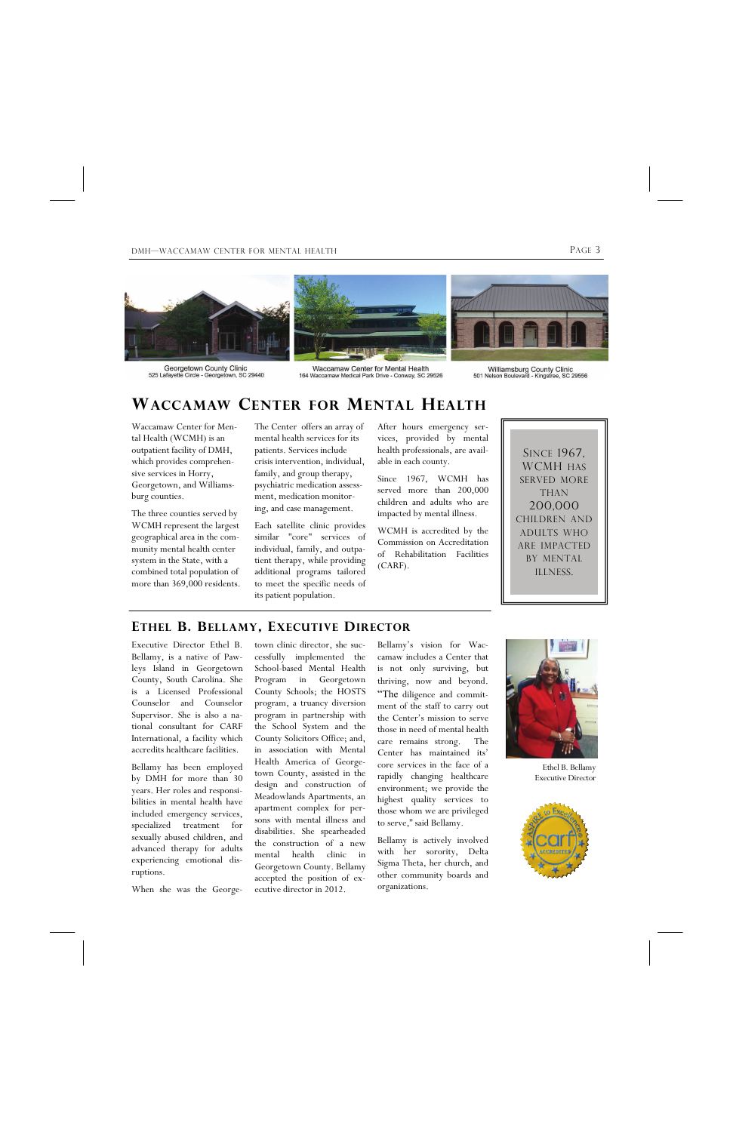#### DMH—WACCAMAW CENTER FOR MENTAL HEALTH PAGE 3



Georgetown County Clinic<br>525 Lafayette Circle - Georgetown, SC 29440

Waccamaw Center for Mental Health<br>164 Waccamaw Medical Park Drive - Conway, SC 29526

Williamsburg County Clinic<br>Nelson Boulevard - Kingstree, SC 29556 501 Ne

Waccamaw Center for Mental Health (WCMH) is an outpatient facility of DMH, which provides comprehensive services in Horry, Georgetown, and Williamsburg counties.

The three counties served by WCMH represent the largest geographical area in the community mental health center system in the State, with a combined total population of more than 369,000 residents. The Center offers an array of mental health services for its patients. Services include crisis intervention, individual, family, and group therapy, psychiatric medication assessment, medication monitoring, and case management.

Each satellite clinic provides similar "core" services of individual, family, and outpatient therapy, while providing additional programs tailored to meet the specific needs of its patient population.

After hours emergency services, provided by mental health professionals, are available in each county.

Since 1967, WCMH has served more than 200,000 children and adults who are impacted by mental illness.

WCMH is accredited by the Commission on Accreditation of Rehabilitation Facilities (CARF).

## **WACCAMAW CENTER FOR MENTAL HEALTH**

SINCE 1967, WCMH HAS SERVED MORE THAN 200,000 CHILDREN AND ADULTS WHO ARE IMPACTED BY MENTAL ILLNESS.



Ethel B. Bellamy Executive Director



Executive Director Ethel B. Bellamy, is a native of Pawleys Island in Georgetown County, South Carolina. She is a Licensed Professional Counselor and Counselor Supervisor. She is also a national consultant for CARF International, a facility which accredits healthcare facilities.

Bellamy has been employed by DMH for more than 30 years. Her roles and responsibilities in mental health have included emergency services, specialized treatment for

sexually abused children, and advanced therapy for adults experiencing emotional disruptions.

When she was the George-

town clinic director, she successfully implemented the School-based Mental Health Program in Georgetown County Schools; the HOSTS program, a truancy diversion program in partnership with the School System and the County Solicitors Office; and, in association with Mental Health America of Georgetown County, assisted in the design and construction of Meadowlands Apartments, an apartment complex for persons with mental illness and

disabilities. She spearheaded the construction of a new mental health clinic in Georgetown County. Bellamy accepted the position of executive director in 2012.

Bellamy's vision for Waccamaw includes a Center that is not only surviving, but thriving, now and beyond. "The diligence and commitment of the staff to carry out the Center's mission to serve those in need of mental health care remains strong. The Center has maintained its' core services in the face of a rapidly changing healthcare environment; we provide the highest quality services to those whom we are privileged to serve," said Bellamy.

Bellamy is actively involved with her sorority, Delta Sigma Theta, her church, and other community boards and organizations.

#### **ETHEL B. BELLAMY, EXECUTIVE DIRECTOR**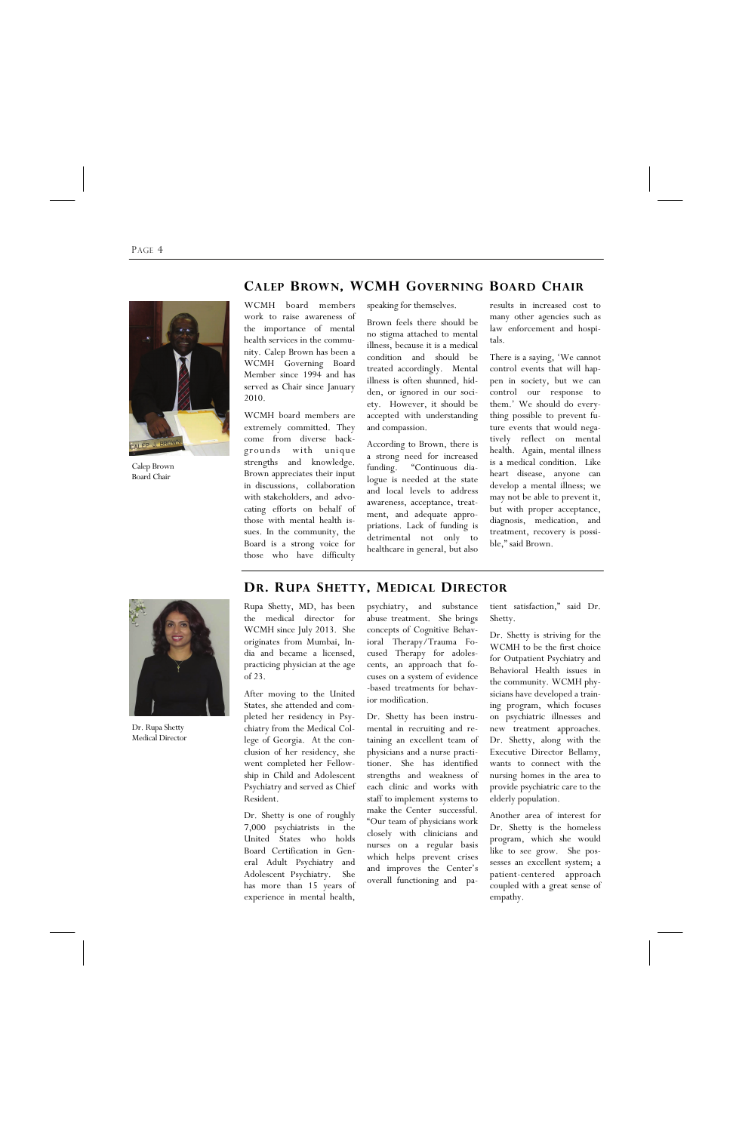PAGE 4

#### **CALEP BROWN, WCMH GOVERNING BOARD CHAIR**

speaking for themselves.

Brown feels there should be no stigma attached to mental illness, because it is a medical condition and should be treated accordingly. Mental illness is often shunned, hidden, or ignored in our society. However, it should be accepted with understanding and compassion.

According to Brown, there is a strong need for increased funding. "Continuous dialogue is needed at the state and local levels to address awareness, acceptance, treatment, and adequate appropriations. Lack of funding is detrimental not only to healthcare in general, but also results in increased cost to many other agencies such as law enforcement and hospitals.

There is a saying, 'We cannot control events that will happen in society, but we can control our response to them.' We should do everything possible to prevent future events that would negatively reflect on mental health. Again, mental illness is a medical condition. Like heart disease, anyone can develop a mental illness; we may not be able to prevent it, but with proper acceptance, diagnosis, medication, and treatment, recovery is possible," said Brown.

WCMH board members work to raise awareness of the importance of mental health services in the community. Calep Brown has been a WCMH Governing Board Member since 1994 and has served as Chair since January 2010.

WCMH board members are extremely committed. They come from diverse backgrounds with unique strengths and knowledge. Brown appreciates their input in discussions, collaboration with stakeholders, and advocating efforts on behalf of those with mental health issues. In the community, the Board is a strong voice for those who have difficulty

Calep Brown Board Chair



Dr. Rupa Shetty Medical Director

Rupa Shetty, MD, has been the medical director for WCMH since July 2013. She originates from Mumbai, India and became a licensed, practicing physician at the age of 23.

After moving to the United States, she attended and completed her residency in Psychiatry from the Medical College of Georgia. At the conclusion of her residency, she went completed her Fellowship in Child and Adolescent Psychiatry and served as Chief Resident.

Dr. Shetty is one of roughly 7,000 psychiatrists in the United States who holds Board Certification in General Adult Psychiatry and Adolescent Psychiatry. She has more than 15 years of experience in mental health,

psychiatry, and substance abuse treatment. She brings concepts of Cognitive Behavioral Therapy/Trauma Focused Therapy for adolescents, an approach that focuses on a system of evidence -based treatments for behavior modification.

Dr. Shetty has been instrumental in recruiting and retaining an excellent team of physicians and a nurse practitioner. She has identified strengths and weakness of each clinic and works with staff to implement systems to make the Center successful. "Our team of physicians work closely with clinicians and nurses on a regular basis which helps prevent crises and improves the Center's overall functioning and pa-

tient satisfaction," said Dr. Shetty.

Dr. Shetty is striving for the WCMH to be the first choice for Outpatient Psychiatry and Behavioral Health issues in the community. WCMH physicians have developed a training program, which focuses on psychiatric illnesses and new treatment approaches. Dr. Shetty, along with the Executive Director Bellamy, wants to connect with the nursing homes in the area to provide psychiatric care to the elderly population.

Another area of interest for Dr. Shetty is the homeless

program, which she would like to see grow. She possesses an excellent system; a patient-centered approach coupled with a great sense of empathy.

#### **DR. RUPA SHETTY, MEDICAL DIRECTOR**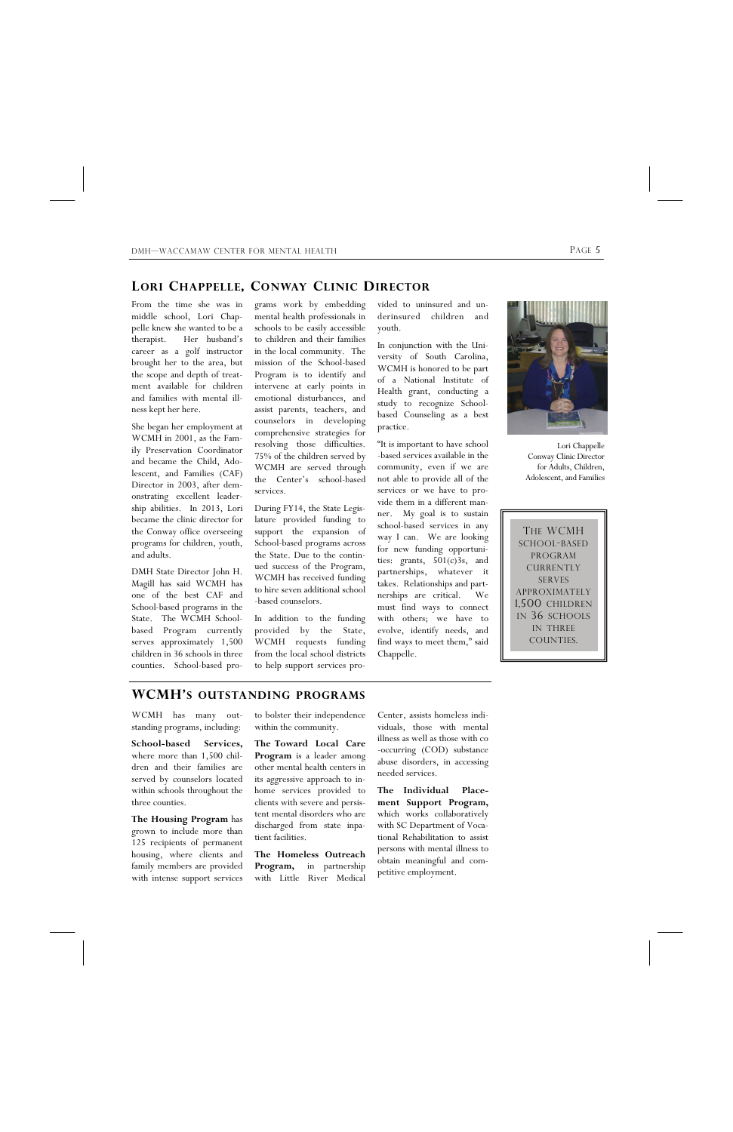DMH—WACCAMAW CENTER FOR MENTAL HEALTH **PAGE 5** 

#### **LORI CHAPPELLE, CONWAY CLINIC DIRECTOR**

THE WCMH SCHOOL-BASED PROGRAM CURRENTLY SERVES APPROXIMATELY 1,500 CHILDREN IN 36 SCHOOLS IN THREE COUNTIES.

vided to uninsured and underinsured children and youth.

In conjunction with the University of South Carolina, WCMH is honored to be part of a National Institute of Health grant, conducting a study to recognize Schoolbased Counseling as a best practice.

"It is important to have school -based services available in the community, even if we are not able to provide all of the services or we have to provide them in a different manner. My goal is to sustain school-based services in any way I can. We are looking for new funding opportunities: grants, 501(c)3s, and partnerships, whatever it takes. Relationships and partnerships are critical. We must find ways to connect with others; we have to evolve, identify needs, and find ways to meet them," said Chappelle.

grams work by embedding mental health professionals in schools to be easily accessible to children and their families in the local community. The mission of the School-based Program is to identify and intervene at early points in emotional disturbances, and assist parents, teachers, and counselors in developing comprehensive strategies for resolving those difficulties. 75% of the children served by WCMH are served through the Center's school-based services.

During FY14, the State Legislature provided funding to support the expansion of School-based programs across the State. Due to the continued success of the Program, WCMH has received funding to hire seven additional school -based counselors.

In addition to the funding provided by the State, WCMH requests funding from the local school districts to help support services pro-

From the time she was in middle school, Lori Chappelle knew she wanted to be a therapist. Her husband's career as a golf instructor brought her to the area, but the scope and depth of treatment available for children and families with mental illness kept her here.

She began her employment at WCMH in 2001, as the Family Preservation Coordinator and became the Child, Adolescent, and Families (CAF) Director in 2003, after demonstrating excellent leadership abilities. In 2013, Lori became the clinic director for the Conway office overseeing programs for children, youth, and adults.

DMH State Director John H. Magill has said WCMH has one of the best CAF and School-based programs in the State. The WCMH Schoolbased Program currently serves approximately 1,500 children in 36 schools in three counties. School-based pro-



Lori Chappelle Conway Clinic Director for Adults, Children, Adolescent, and Families

### **WCMH'S OUTSTANDING PROGRAMS**

WCMH has many outstanding programs, including:

**School-based Services,**  where more than 1,500 children and their families are served by counselors located within schools throughout the three counties.

**The Housing Program** has grown to include more than 125 recipients of permanent housing, where clients and family members are provided with intense support services

to bolster their independence within the community.

**The Toward Local Care Program** is a leader among other mental health centers in its aggressive approach to inhome services provided to clients with severe and persistent mental disorders who are discharged from state inpa-

tient facilities.

**The Homeless Outreach Program,** in partnership with Little River Medical

Center, assists homeless individuals, those with mental illness as well as those with co -occurring (COD) substance abuse disorders, in accessing needed services.

**The Individual Placement Support Program,**  which works collaboratively with SC Department of Vocational Rehabilitation to assist persons with mental illness to obtain meaningful and competitive employment.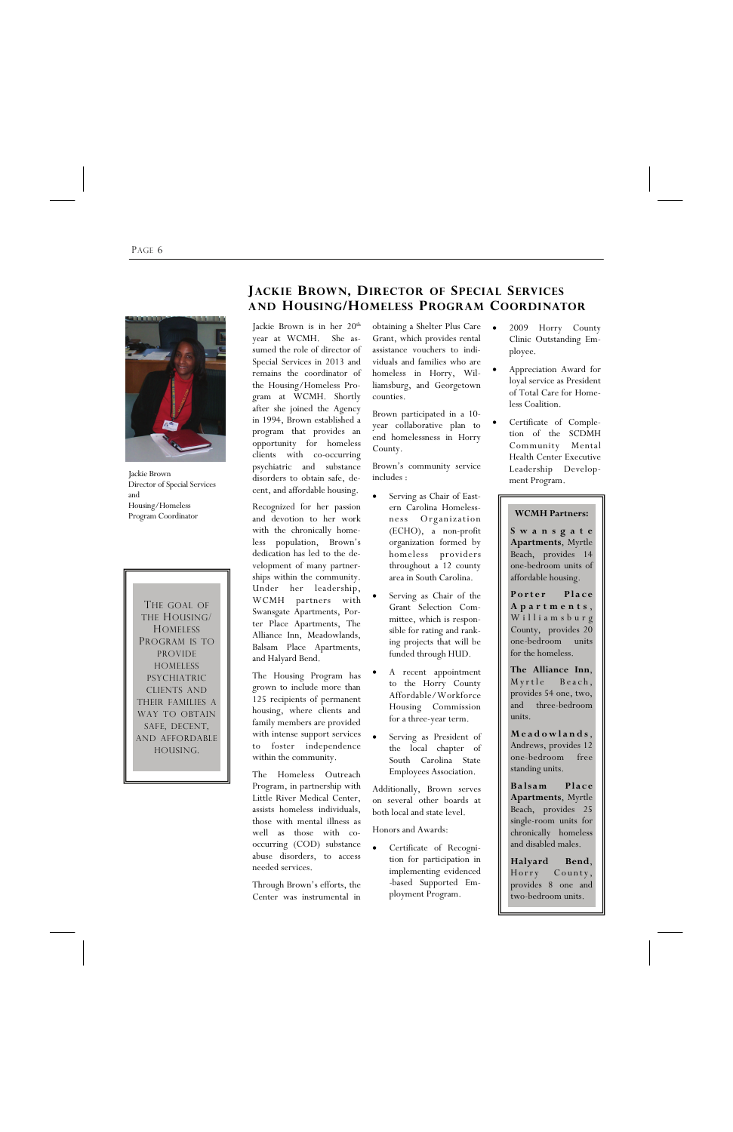#### PAGE 6

THE GOAL OF THE HOUSING/ **HOMELESS** PROGRAM IS TO PROVIDE HOMELESS PSYCHIATRIC CLIENTS AND THEIR FAMILIES A WAY TO OBTAIN SAFE, DECENT, AND AFFORDABLE HOUSING.

obtaining a Shelter Plus Care Grant, which provides rental assistance vouchers to individuals and families who are homeless in Horry, Williamsburg, and Georgetown counties.

Brown participated in a 10 year collaborative plan to end homelessness in Horry County.

Brown's community service includes :

- Serving as Chair of Eastern Carolina Homelessness Organization (ECHO), a non-profit organization formed by homeless providers throughout a 12 county area in South Carolina.
- Serving as Chair of the Grant Selection Committee, which is responsible for rating and ranking projects that will be funded through HUD.
- A recent appointment to the Horry County Affordable/Workforce Housing Commission for a three-year term.
- Serving as President of the local chapter of South Carolina State Employees Association.

Jackie Brown is in her 20<sup>th</sup> year at WCMH. She assumed the role of director of Special Services in 2013 and remains the coordinator of the Housing/Homeless Program at WCMH. Shortly after she joined the Agency in 1994, Brown established a program that provides an opportunity for homeless clients with co-occurring psychiatric and substance disorders to obtain safe, decent, and affordable housing.

> Additionally, Brown serves on several other boards at both local and state level.

Honors and Awards:

 Certificate of Recognition for participation in implementing evidenced -based Supported Employment Program.

Porter Place **Apartments** , Williamsburg County, provides 20 one-bedroom units for the homeless.

**Balsam** Place **Apartments**, Myrtle Beach, provides 25 single-room units for chronically homeless and disabled males.

Recognized for her passion Program Coordinator and devotion to her work ness Organization **WCMH Partners:** with the chronically homeless population, Brown's dedication has led to the development of many partnerships within the community. Under her leadership, WCMH partners with Swansgate Apartments, Porter Place Apartments, The Alliance Inn, Meadowlands, Balsam Place Apartments, and Halyard Bend.

> The Housing Program has grown to include more than 125 recipients of permanent housing, where clients and family members are provided with intense support services to foster independence within the community.

The Homeless Outreach Program, in partnership with Little River Medical Center, assists homeless individuals, those with mental illness as

well as those with cooccurring (COD) substance abuse disorders, to access needed services.

Through Brown's efforts, the Center was instrumental in

- 2009 Horry County Clinic Outstanding Employee.
	- Appreciation Award for loyal service as President of Total Care for Homeless Coalition.
	- Certificate of Completion of the SCDMH Community Mental Health Center Executive Leadership Development Program.

### **JACKIE BROWN, DIRECTOR OF SPECIAL SERVICES AND HOUSING/HOMELESS PROGRAM COORDINATOR**



Jackie Brown Director of Special Services and Housing/Homeless

**S w a n s g a t e Apartments**, Myrtle Beach, provides 14 one-bedroom units of affordable housing.

**The Alliance Inn**, Myrtle Beach, provides 54 one, two, and three-bedroom units.

**Meadowlands**, Andrews, provides 12 one-bedroom free standing units.

**Halyard Bend**, Horry County, provides 8 one and two-bedroom units.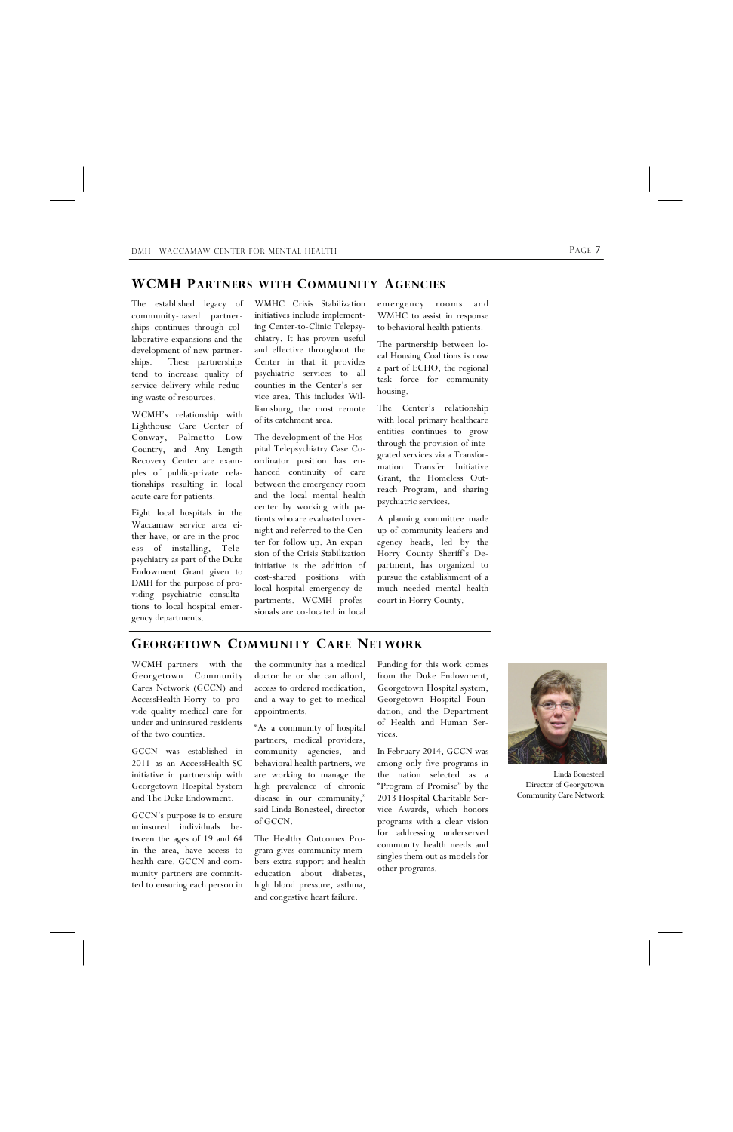WMHC Crisis Stabilization initiatives include implementing Center-to-Clinic Telepsychiatry. It has proven useful and effective throughout the Center in that it provides psychiatric services to all counties in the Center's service area. This includes Williamsburg, the most remote of its catchment area.

The development of the Hospital Telepsychiatry Case Coordinator position has enhanced continuity of care between the emergency room and the local mental health center by working with patients who are evaluated overnight and referred to the Center for follow-up. An expansion of the Crisis Stabilization initiative is the addition of cost-shared positions with local hospital emergency departments. WCMH professionals are co-located in local emergency rooms and WMHC to assist in response to behavioral health patients.

The partnership between local Housing Coalitions is now a part of ECHO, the regional task force for community housing.

The Center's relationship with local primary healthcare entities continues to grow through the provision of integrated services via a Transformation Transfer Initiative Grant, the Homeless Outreach Program, and sharing psychiatric services.

A planning committee made up of community leaders and agency heads, led by the Horry County Sheriff's Department, has organized to pursue the establishment of a much needed mental health court in Horry County.

The established legacy of community-based partnerships continues through collaborative expansions and the development of new partnerships. These partnerships tend to increase quality of service delivery while reducing waste of resources.

WCMH's relationship with Lighthouse Care Center of Conway, Palmetto Low Country, and Any Length Recovery Center are examples of public-private relationships resulting in local acute care for patients.

Eight local hospitals in the Waccamaw service area either have, or are in the process of installing, Telepsychiatry as part of the Duke Endowment Grant given to DMH for the purpose of providing psychiatric consultations to local hospital emergency departments.

#### **WCMH PARTNERS WITH COMMUNITY AGENCIES**

WCMH partners with the Georgetown Community Cares Network (GCCN) and AccessHealth-Horry to provide quality medical care for under and uninsured residents of the two counties.

GCCN was established in 2011 as an AccessHealth-SC initiative in partnership with Georgetown Hospital System and The Duke Endowment.

GCCN's purpose is to ensure uninsured individuals be-

tween the ages of 19 and 64 in the area, have access to health care. GCCN and community partners are committed to ensuring each person in

the community has a medical doctor he or she can afford, access to ordered medication, and a way to get to medical appointments.

"As a community of hospital partners, medical providers, community agencies, and behavioral health partners, we are working to manage the high prevalence of chronic disease in our community," said Linda Bonesteel, director of GCCN.

The Healthy Outcomes Program gives community members extra support and health education about diabetes, high blood pressure, asthma, and congestive heart failure.

Funding for this work comes from the Duke Endowment, Georgetown Hospital system, Georgetown Hospital Foundation, and the Department of Health and Human Services.

In February 2014, GCCN was among only five programs in the nation selected as a "Program of Promise" by the 2013 Hospital Charitable Service Awards, which honors programs with a clear vision for addressing underserved community health needs and singles them out as models for other programs.

### **GEORGETOWN COMMUNITY CARE NETWORK**



Linda Bonesteel Director of Georgetown Community Care Network